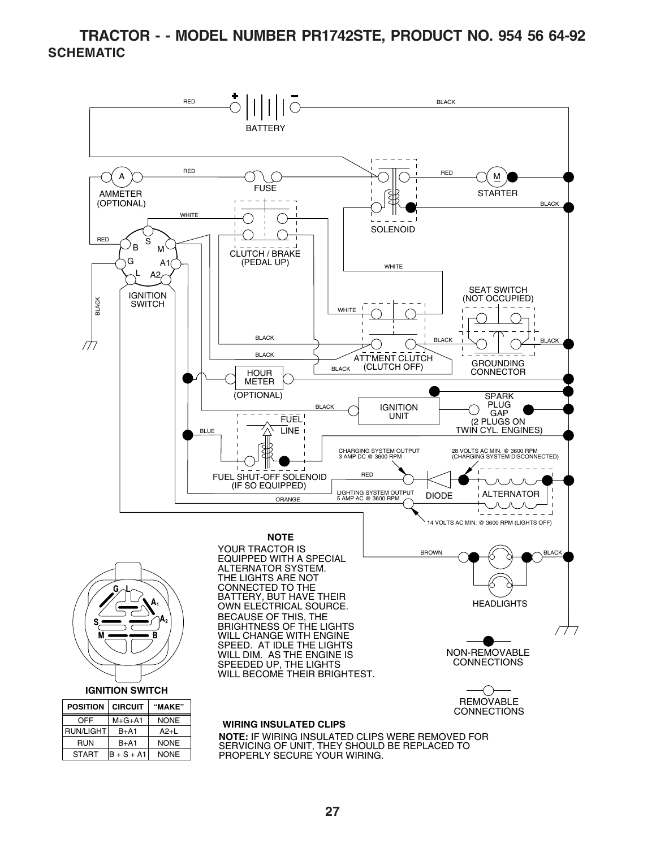#### **TRACTOR - - MODEL NUMBER PR1742STE, PRODUCT NO. 954 56 64-92 SCHEMATIC**



SERVICING OF UNIT, THEY SHOULD BE REPLACED TO PROPERLY SECURE YOUR WIRING.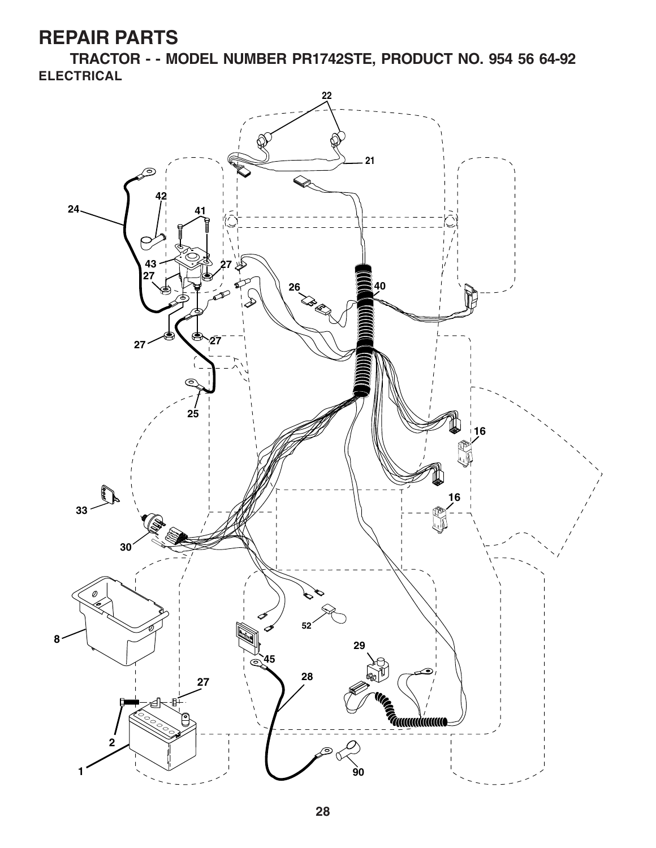**TRACTOR - - MODEL NUMBER PR1742STE, PRODUCT NO. 954 56 64-92 ELECTRICAL**

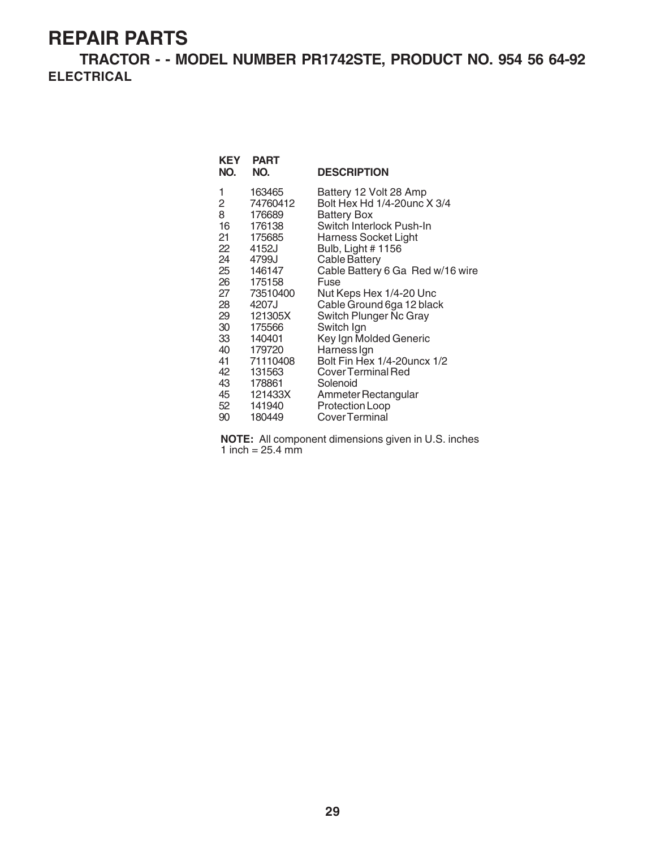**TRACTOR - - MODEL NUMBER PR1742STE, PRODUCT NO. 954 56 64-92 ELECTRICAL**

| KEY<br>NO.      | <b>PART</b><br>NO. | <b>DESCRIPTION</b>               |
|-----------------|--------------------|----------------------------------|
| 1               | 163465             | Battery 12 Volt 28 Amp           |
| $\overline{c}$  | 74760412           | Bolt Hex Hd 1/4-20unc X 3/4      |
| 8               | 176689             | Battery Box                      |
| 16              | 176138             | Switch Interlock Push-In         |
| 21              | 175685             | Harness Socket Light             |
| 22              | 4152J              | Bulb, Light # 1156               |
| 24              | 4799J              | <b>Cable Battery</b>             |
|                 | 25 146147          | Cable Battery 6 Ga Red w/16 wire |
| 26              | 175158             | Fuse                             |
| 27              | 73510400           | Nut Keps Hex 1/4-20 Unc          |
| 28              | 4207J              | Cable Ground 6ga 12 black        |
| 29              | 121305X            | Switch Plunger Nc Gray           |
| 30              | 175566             | Switch Ign                       |
| 33              | 140401             | Key Ign Molded Generic           |
| 40              | 179720             | Harness Ign                      |
| 41              | 71110408           | Bolt Fin Hex 1/4-20 uncx 1/2     |
| 42              | 131563             | Cover Terminal Red               |
| 43              | 178861             | Solenoid                         |
| 45              | 121433X            | Ammeter Rectangular              |
| 52 <sub>2</sub> | 141940             | Protection Loop                  |
| 90              | 180449             | Cover Terminal                   |

**NOTE:** All component dimensions given in U.S. inches 1 inch  $= 25.4$  mm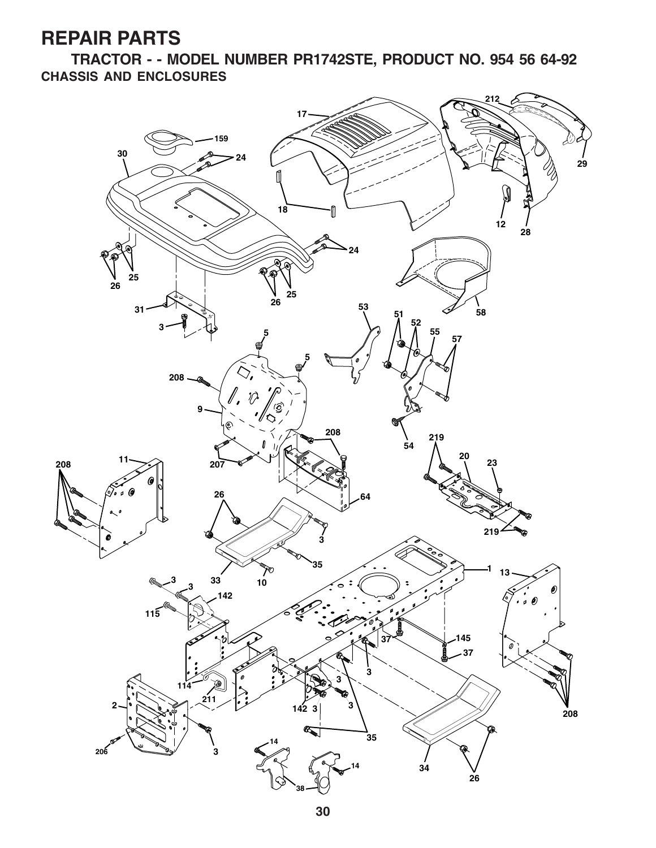**TRACTOR - - MODEL NUMBER PR1742STE, PRODUCT NO. 954 56 64-92 CHASSIS AND ENCLOSURES**

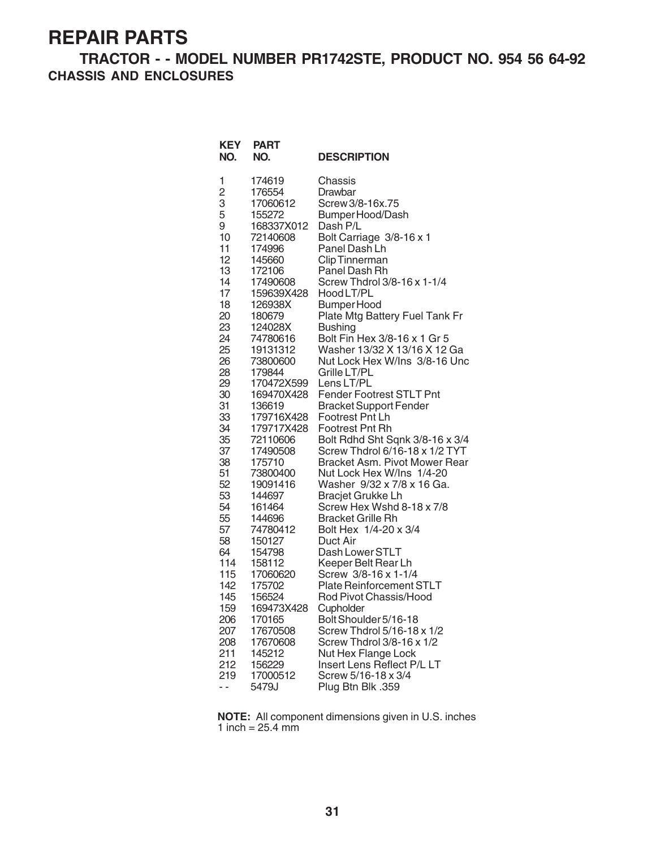#### **TRACTOR - - MODEL NUMBER PR1742STE, PRODUCT NO. 954 56 64-92 CHASSIS AND ENCLOSURES**

| <b>KEY</b><br>NO.                                                                                                                                                                                                                                                                             | <b>PART</b><br>NO.                                                                                                                                                                                                                                                                                                                                                                                                                                                                                                                  | <b>DESCRIPTION</b>                                                                                                                                                                                                                                                                                                                                                                                                                                                                                                                                                                                                                                                                                                                                                                                                                                                                                                                                                                                                                                                                                                                          |
|-----------------------------------------------------------------------------------------------------------------------------------------------------------------------------------------------------------------------------------------------------------------------------------------------|-------------------------------------------------------------------------------------------------------------------------------------------------------------------------------------------------------------------------------------------------------------------------------------------------------------------------------------------------------------------------------------------------------------------------------------------------------------------------------------------------------------------------------------|---------------------------------------------------------------------------------------------------------------------------------------------------------------------------------------------------------------------------------------------------------------------------------------------------------------------------------------------------------------------------------------------------------------------------------------------------------------------------------------------------------------------------------------------------------------------------------------------------------------------------------------------------------------------------------------------------------------------------------------------------------------------------------------------------------------------------------------------------------------------------------------------------------------------------------------------------------------------------------------------------------------------------------------------------------------------------------------------------------------------------------------------|
| 1<br>$\overline{c}$<br>3<br>5<br>9<br>10<br>11<br>12<br>13<br>14<br>17<br>18<br>20<br>23<br>24<br>25<br>26<br>28<br>29<br>30<br>31<br>33<br>34<br>35<br>37<br>38<br>51<br>52<br>53<br>54<br>55<br>57<br>58<br>64<br>114<br>115<br>142<br>145<br>159<br>206<br>207<br>208<br>211<br>212<br>219 | 174619<br>176554<br>17060612<br>155272<br>168337X012<br>72140608<br>174996<br>145660<br>172106<br>17490608<br>159639X428<br>126938X<br>180679<br>124028X<br>74780616<br>19131312<br>73800600<br>179844<br>170472X599<br>169470X428<br>136619<br>179716X428<br>179717X428<br>72110606<br>17490508<br>175710<br>73800400<br>19091416<br>144697<br>161464<br>144696<br>74780412<br>150127<br>154798<br>158112<br>17060620<br>175702<br>156524<br>169473X428<br>170165<br>17670508<br>17670608<br>145212<br>156229<br>17000512<br>5479J | Chassis<br>Drawbar<br>Screw 3/8-16x.75<br>Bumper Hood/Dash<br>Dash P/L<br>Bolt Carriage 3/8-16 x 1<br>Panel Dash Lh<br><b>Clip Tinnerman</b><br>Panel Dash Rh<br>Screw Thdrol 3/8-16 x 1-1/4<br>Hood LT/PL<br><b>Bumper Hood</b><br>Plate Mtg Battery Fuel Tank Fr<br><b>Bushing</b><br>Bolt Fin Hex 3/8-16 x 1 Gr 5<br>Washer 13/32 X 13/16 X 12 Ga<br>Nut Lock Hex W/Ins 3/8-16 Unc<br>Grille LT/PL<br>Lens LT/PL<br><b>Fender Footrest STLT Pnt</b><br><b>Bracket Support Fender</b><br>Footrest Pnt Lh<br><b>Footrest Pnt Rh</b><br>Bolt Rdhd Sht Sqnk 3/8-16 x 3/4<br>Screw Thdrol 6/16-18 x 1/2 TYT<br>Bracket Asm. Pivot Mower Rear<br>Nut Lock Hex W/Ins 1/4-20<br>Washer 9/32 x 7/8 x 16 Ga.<br><b>Bracjet Grukke Lh</b><br>Screw Hex Wshd 8-18 x 7/8<br><b>Bracket Grille Rh</b><br>Bolt Hex 1/4-20 x 3/4<br>Duct Air<br>Dash Lower STLT<br>Keeper Belt Rear Lh<br>Screw 3/8-16 x 1-1/4<br><b>Plate Reinforcement STLT</b><br>Rod Pivot Chassis/Hood<br>Cupholder<br>Bolt Shoulder 5/16-18<br>Screw Thdrol 5/16-18 x 1/2<br>Screw Thdrol 3/8-16 x 1/2<br>Nut Hex Flange Lock<br>Insert Lens Reflect P/L LT<br>Screw 5/16-18 x 3/4 |
|                                                                                                                                                                                                                                                                                               |                                                                                                                                                                                                                                                                                                                                                                                                                                                                                                                                     | Plug Btn Blk .359                                                                                                                                                                                                                                                                                                                                                                                                                                                                                                                                                                                                                                                                                                                                                                                                                                                                                                                                                                                                                                                                                                                           |

**NOTE:** All component dimensions given in U.S. inches 1 inch =  $25.4 \, \text{mm}$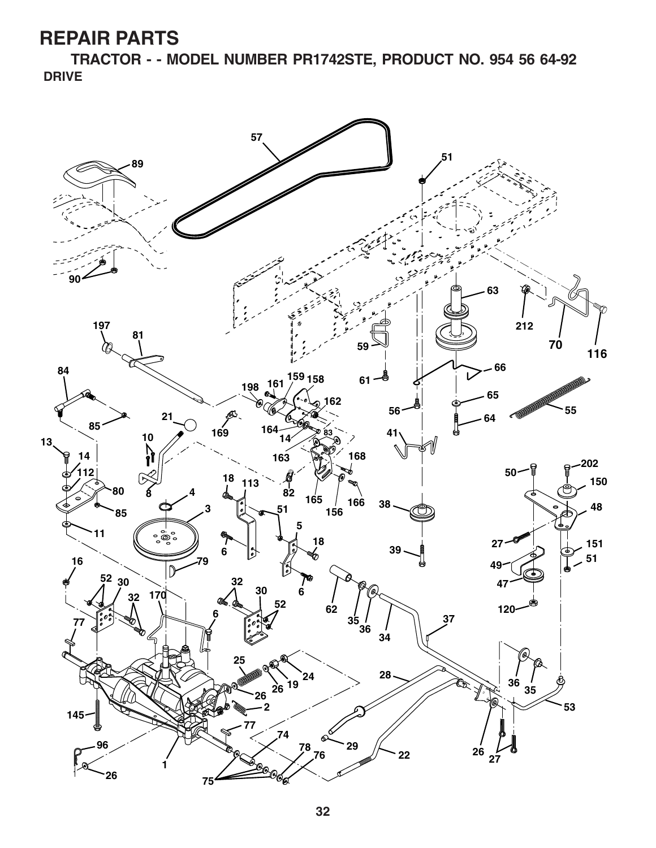**TRACTOR - - MODEL NUMBER PR1742STE, PRODUCT NO. 954 56 64-92 DRIVE**

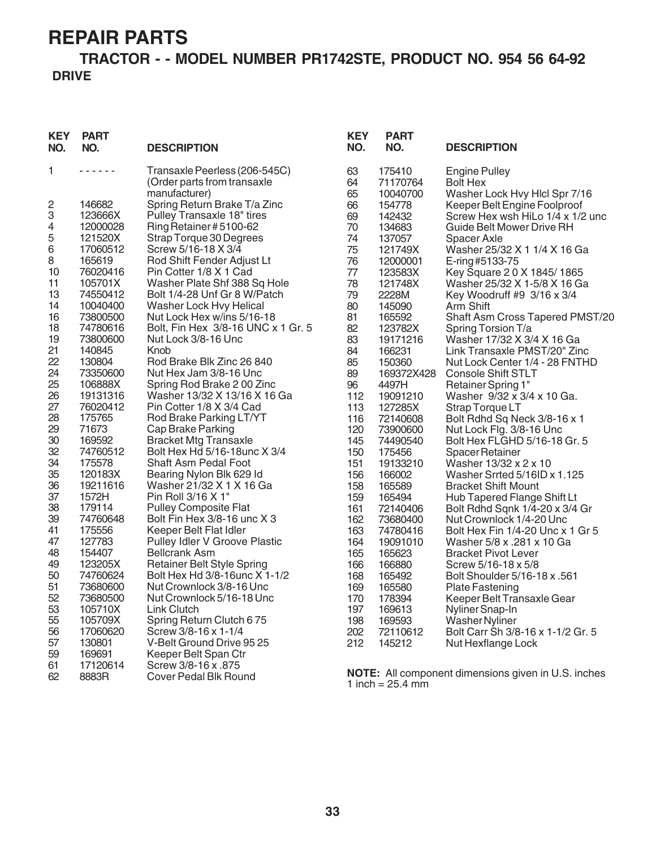#### **TRACTOR - - MODEL NUMBER PR1742STE, PRODUCT NO. 954 56 64-92 DRIVE**

| KEY<br>NO. | <b>PART</b><br>NO. | <b>DESCRIPTION</b>                 | <b>KEY</b><br>NO. | <b>PART</b><br>NO. | <b>DESCRIPTION</b>                                         |
|------------|--------------------|------------------------------------|-------------------|--------------------|------------------------------------------------------------|
| 1          | .                  | Transaxle Peerless (206-545C)      | 63                | 175410             | <b>Engine Pulley</b>                                       |
|            |                    | (Order parts from transaxle        | 64                | 71170764           | <b>Bolt Hex</b>                                            |
|            |                    | manufacturer)                      | 65                | 10040700           | Washer Lock Hvy Hlcl Spr 7/16                              |
| 2          | 146682             | Spring Return Brake T/a Zinc       | 66                | 154778             | Keeper Belt Engine Foolproof                               |
| 3          | 123666X            | Pulley Transaxle 18" tires         | 69                | 142432             | Screw Hex wsh HiLo 1/4 x 1/2 unc                           |
| 4          | 12000028           | Ring Retainer #5100-62             | 70                | 134683             | Guide Belt Mower Drive RH                                  |
| 5          | 121520X            | Strap Torque 30 Degrees            | 74                | 137057             | Spacer Axle                                                |
| 6          | 17060512           | Screw 5/16-18 X 3/4                | 75                | 121749X            | Washer 25/32 X 1 1/4 X 16 Ga                               |
| 8          | 165619             | Rod Shift Fender Adjust Lt         | 76                | 12000001           | E-ring #5133-75                                            |
| 10         | 76020416           | Pin Cotter 1/8 X 1 Cad             | 77                | 123583X            | Key Square 20 X 1845/1865                                  |
| 11         | 105701X            | Washer Plate Shf 388 Sq Hole       | 78                | 121748X            | Washer 25/32 X 1-5/8 X 16 Ga                               |
| 13         | 74550412           | Bolt 1/4-28 Unf Gr 8 W/Patch       | 79                | 2228M              | Key Woodruff #9 3/16 x 3/4                                 |
| 14         | 10040400           | Washer Lock Hvy Helical            | 80                | 145090             | Arm Shift                                                  |
| 16         | 73800500           | Nut Lock Hex w/ins 5/16-18         | 81                | 165592             | Shaft Asm Cross Tapered PMST/20                            |
| 18         | 74780616           | Bolt, Fin Hex 3/8-16 UNC x 1 Gr. 5 | 82                | 123782X            | Spring Torsion T/a                                         |
| 19         | 73800600           | Nut Lock 3/8-16 Unc                | 83                | 19171216           | Washer 17/32 X 3/4 X 16 Ga                                 |
| 21         | 140845             | Knob                               | 84                | 166231             | Link Transaxle PMST/20" Zinc                               |
| 22         | 130804             | Rod Brake Blk Zinc 26 840          | 85                | 150360             | Nut Lock Center 1/4 - 28 FNTHD                             |
| 24         | 73350600           | Nut Hex Jam 3/8-16 Unc             | 89                | 169372X428         | <b>Console Shift STLT</b>                                  |
| 25         | 106888X            | Spring Rod Brake 200 Zinc          | 96                | 4497H              | Retainer Spring 1"                                         |
| 26         | 19131316           | Washer 13/32 X 13/16 X 16 Ga       | 112               | 19091210           | Washer 9/32 x 3/4 x 10 Ga.                                 |
| 27         | 76020412           | Pin Cotter 1/8 X 3/4 Cad           | 113               | 127285X            | Strap Torque LT                                            |
| 28         | 175765             | Rod Brake Parking LT/YT            | 116               | 72140608           | Bolt Rdhd Sq Neck 3/8-16 x 1                               |
| 29         | 71673              | Cap Brake Parking                  | 120               | 73900600           | Nut Lock Flg. 3/8-16 Unc                                   |
| 30         | 169592             | <b>Bracket Mtg Transaxle</b>       | 145               | 74490540           | Bolt Hex FLGHD 5/16-18 Gr. 5                               |
| 32         | 74760512           | Bolt Hex Hd 5/16-18 unc X 3/4      | 150               | 175456             | Spacer Retainer                                            |
| 34         | 175578             | <b>Shaft Asm Pedal Foot</b>        | 151               | 19133210           | Washer 13/32 x 2 x 10                                      |
| 35         | 120183X            | Bearing Nylon Blk 629 Id           | 156               | 166002             | Washer Srrted 5/16ID x 1.125                               |
| 36         | 19211616           | Washer 21/32 X 1 X 16 Ga           | 158               | 165589             | <b>Bracket Shift Mount</b>                                 |
| 37         | 1572H              | Pin Roll 3/16 X 1"                 | 159               | 165494             | Hub Tapered Flange Shift Lt                                |
| 38         | 179114             | <b>Pulley Composite Flat</b>       | 161               | 72140406           | Bolt Rdhd Sqnk 1/4-20 x 3/4 Gr                             |
| 39         | 74760648           | Bolt Fin Hex 3/8-16 unc X 3        | 162               | 73680400           | Nut Crownlock 1/4-20 Unc                                   |
| 41         | 175556             | Keeper Belt Flat Idler             | 163               | 74780416           | Bolt Hex Fin 1/4-20 Unc x 1 Gr 5                           |
| 47         | 127783             | Pulley Idler V Groove Plastic      | 164               | 19091010           | Washer 5/8 x .281 x 10 Ga                                  |
| 48         | 154407             | <b>Bellcrank Asm</b>               | 165               | 165623             | <b>Bracket Pivot Lever</b>                                 |
| 49         | 123205X            | <b>Retainer Belt Style Spring</b>  | 166               | 166880             | Screw 5/16-18 x 5/8                                        |
| 50         | 74760624           | Bolt Hex Hd 3/8-16unc X 1-1/2      | 168               | 165492             | Bolt Shoulder 5/16-18 x .561                               |
| 51         | 73680600           | Nut Crownlock 3/8-16 Unc           | 169               | 165580             | <b>Plate Fastening</b>                                     |
| 52         | 73680500           | Nut Crownlock 5/16-18 Unc          | 170               | 178394             | Keeper Belt Transaxle Gear                                 |
| 53         | 105710X            | <b>Link Clutch</b>                 | 197               | 169613             | Nyliner Snap-In                                            |
| 55         | 105709X            | Spring Return Clutch 675           | 198               | 169593             | <b>Washer Nyliner</b>                                      |
| 56         | 17060620           | Screw 3/8-16 x 1-1/4               | 202               | 72110612           | Bolt Carr Sh 3/8-16 x 1-1/2 Gr. 5                          |
| 57         | 130801             | V-Belt Ground Drive 95 25          | 212               | 145212             | Nut Hexflange Lock                                         |
| 59         | 169691             | Keeper Belt Span Ctr               |                   |                    |                                                            |
| 61         | 17120614           | Screw 3/8-16 x .875                |                   |                    |                                                            |
| 62         | 8883R              | <b>Cover Pedal Blk Round</b>       |                   | 1 inch = $25.4$ mm | <b>NOTE:</b> All component dimensions given in U.S. inches |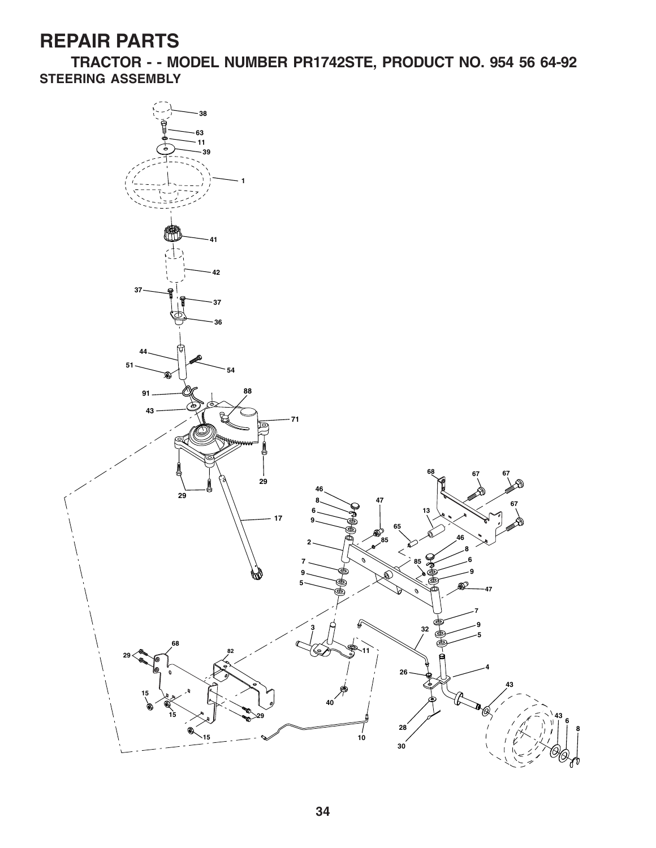**TRACTOR - - MODEL NUMBER PR1742STE, PRODUCT NO. 954 56 64-92 STEERING ASSEMBLY**

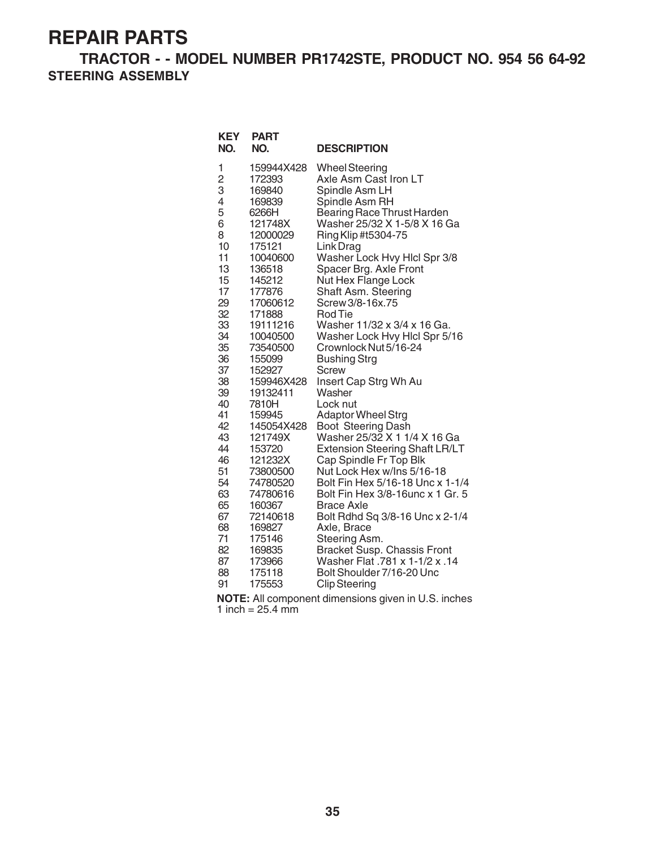**TRACTOR - - MODEL NUMBER PR1742STE, PRODUCT NO. 954 56 64-92 STEERING ASSEMBLY**

| <b>KEY</b><br>NO. | <b>PART</b><br>NO.            | <b>DESCRIPTION</b>                                                  |
|-------------------|-------------------------------|---------------------------------------------------------------------|
| 1                 | 159944X428                    | <b>Wheel Steering</b>                                               |
| $\overline{c}$    | 172393                        | Axle Asm Cast Iron LT                                               |
| 3                 | 169840                        | Spindle Asm LH                                                      |
| 4                 | 169839                        | Spindle Asm RH                                                      |
| 5                 | 6266H                         | <b>Bearing Race Thrust Harden</b>                                   |
| 6<br>8<br>10      | 121748X<br>12000029<br>175121 | Washer 25/32 X 1-5/8 X 16 Ga<br>Ring Klip #t5304-75                 |
| 11<br>13          | 10040600<br>136518            | Link Drag<br>Washer Lock Hvy Hlcl Spr 3/8<br>Spacer Brg. Axle Front |
| 15                | 145212                        | Nut Hex Flange Lock                                                 |
| 17                | 177876                        | Shaft Asm. Steering                                                 |
| 29                | 17060612                      | Screw 3/8-16x.75                                                    |
| 32                | 171888                        | <b>Rod Tie</b>                                                      |
| 33                | 19111216                      | Washer 11/32 x 3/4 x 16 Ga.                                         |
| 34                | 10040500                      | Washer Lock Hvy Hlcl Spr 5/16                                       |
| 35                | 73540500                      | Crownlock Nut 5/16-24                                               |
| 36                | 155099                        | <b>Bushing Strg</b>                                                 |
| 37                | 152927                        | Screw                                                               |
| 38                | 159946X428                    | Insert Cap Strg Wh Au                                               |
| 39                | 19132411                      | Washer                                                              |
| 40                | 7810H                         | Lock nut                                                            |
| 41                | 159945                        | <b>Adaptor Wheel Strg</b>                                           |
| 42                | 145054X428                    | Boot Steering Dash                                                  |
| 43                | 121749X                       | Washer 25/32 X 1 1/4 X 16 Ga                                        |
| 44                | 153720                        | <b>Extension Steering Shaft LR/LT</b>                               |
| 46                | 121232X                       | Cap Spindle Fr Top Blk                                              |
| 51                | 73800500                      | Nut Lock Hex w/Ins 5/16-18                                          |
| 54                | 74780520                      | Bolt Fin Hex 5/16-18 Unc x 1-1/4                                    |
| 63                | 74780616                      | Bolt Fin Hex 3/8-16 unc x 1 Gr. 5                                   |
| 65                | 160367                        | <b>Brace Axle</b>                                                   |
| 67                | 72140618                      | Bolt Rdhd Sq 3/8-16 Unc x 2-1/4                                     |
| 68                | 169827                        | Axle, Brace                                                         |
| 71                | 175146                        | Steering Asm.                                                       |
| 82                | 169835                        | Bracket Susp. Chassis Front                                         |
| 87                | 173966                        | 14. Washer Flat .781 x 1-1/2 x .14                                  |
| 88                | 175118                        | Bolt Shoulder 7/16-20 Unc                                           |
| 91                | 175553                        | <b>Clip Steering</b>                                                |

**NOTE:** All component dimensions given in U.S. inches 1 inch  $= 25.4$  mm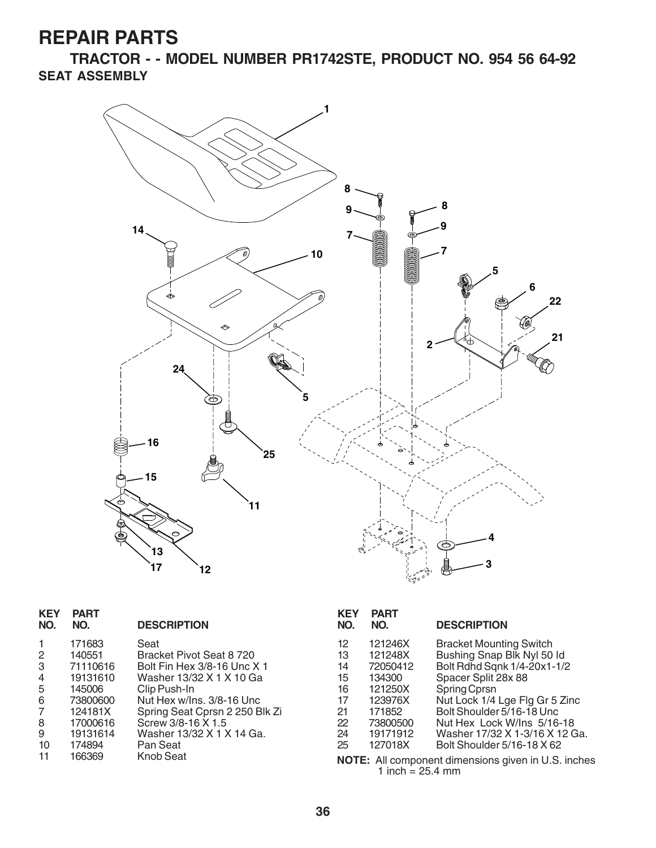**TRACTOR - - MODEL NUMBER PR1742STE, PRODUCT NO. 954 56 64-92 SEAT ASSEMBLY**



| <b>KEY</b><br>NO. | <b>PART</b><br>NO. | <b>DESCRIPTION</b>             |
|-------------------|--------------------|--------------------------------|
| 1                 | 171683             | Seat                           |
| 2                 | 140551             | Bracket Pivot Seat 8 720       |
| 3                 | 71110616           | Bolt Fin Hex 3/8-16 Unc X 1    |
| 4                 | 19131610           | Washer 13/32 X 1 X 10 Ga       |
| 5                 | 145006             | Clip Push-In                   |
| 6                 | 73800600           | Nut Hex w/Ins. 3/8-16 Unc      |
| 7                 | 124181X            | Spring Seat Cprsn 2 250 Blk Zi |
| 8                 | 17000616           | Screw 3/8-16 X 1.5             |
| 9                 | 19131614           | Washer 13/32 X 1 X 14 Ga.      |
| 10                | 174894             | Pan Seat                       |
| 11                | 166369             | Knob Seat                      |

| <b>KEY</b><br>NO.                                                     | <b>PART</b><br>NO.                                                                                          | <b>DESCRIPTION</b>                                                                                                                                                                                                                                                                              |
|-----------------------------------------------------------------------|-------------------------------------------------------------------------------------------------------------|-------------------------------------------------------------------------------------------------------------------------------------------------------------------------------------------------------------------------------------------------------------------------------------------------|
| 12 <sup>2</sup><br>13<br>14<br>15<br>16<br>17<br>21<br>22<br>24<br>25 | 121246X<br>121248X<br>72050412<br>134300<br>121250X<br>123976X<br>171852<br>73800500<br>19171912<br>127018X | <b>Bracket Mounting Switch</b><br>Bushing Snap Blk Nyl 50 ld<br>Bolt Rdhd Sqnk 1/4-20x1-1/2<br>Spacer Split 28x 88<br>Spring Cprsn<br>Nut Lock 1/4 Lge Flg Gr 5 Zinc<br>Bolt Shoulder 5/16-18 Unc<br>Nut Hex Lock W/Ins 5/16-18<br>Washer 17/32 X 1-3/16 X 12 Ga.<br>Bolt Shoulder 5/16-18 X 62 |
|                                                                       |                                                                                                             | $M$ $\Omega$ $\Gamma$ . All companent dimensions given in LLS inches                                                                                                                                                                                                                            |

**NOTE:** All component dimensions given in U.S. inches 1 inch  $= 25.4$  mm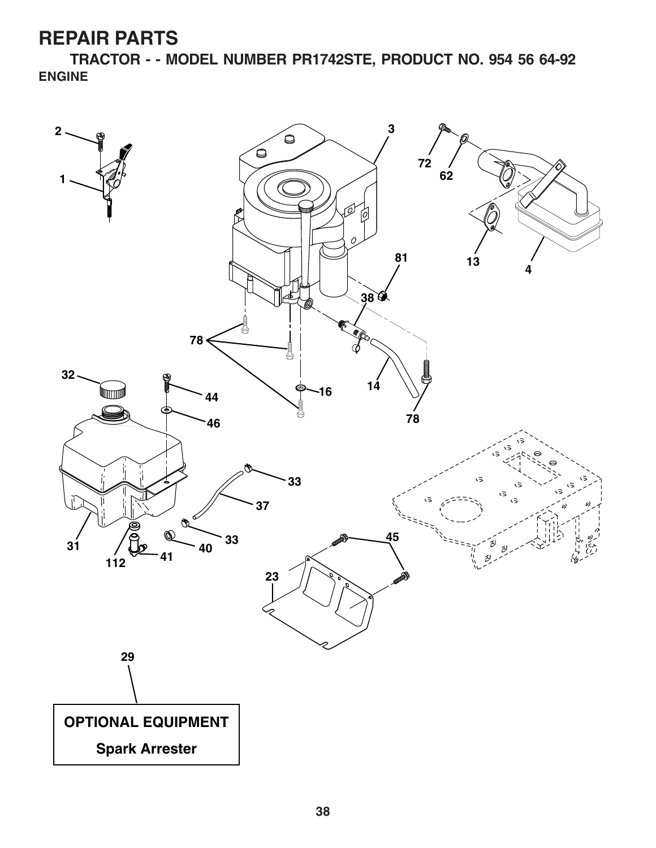**TRACTOR - - MODEL NUMBER PR1742STE, PRODUCT NO. 954 56 64-92 ENGINE**

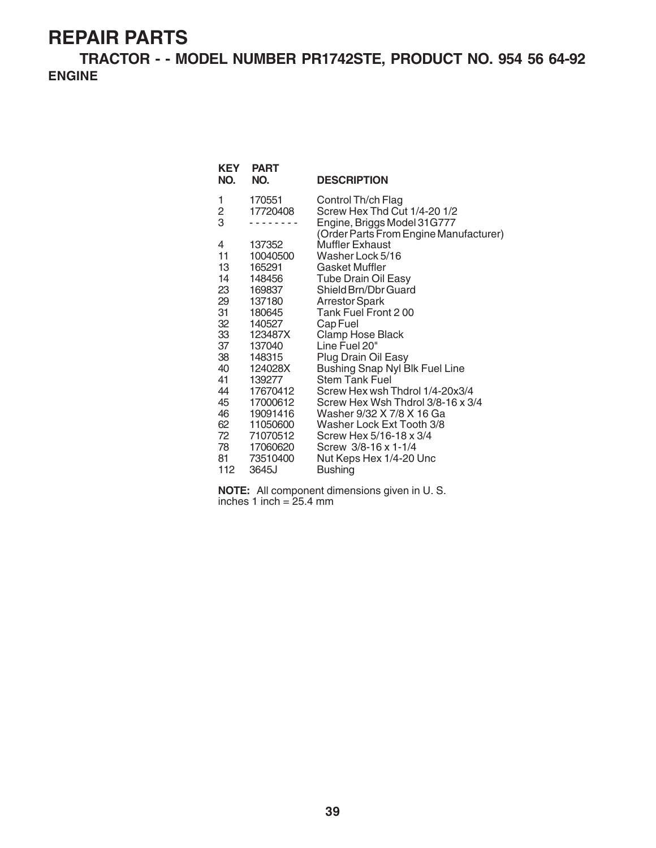**TRACTOR - - MODEL NUMBER PR1742STE, PRODUCT NO. 954 56 64-92 ENGINE**

| <b>KEY</b><br>NO. | <b>PART</b><br>NO. | <b>DESCRIPTION</b>                                                    |
|-------------------|--------------------|-----------------------------------------------------------------------|
| 1<br>2            | 170551<br>17720408 | Control Th/ch Flag<br>Screw Hex Thd Cut 1/4-20 1/2                    |
| 3                 |                    | Engine, Briggs Model 31G777<br>(Order Parts From Engine Manufacturer) |
| 4                 | 137352             | <b>Muffler Exhaust</b>                                                |
| 11                | 10040500           | Washer Lock 5/16                                                      |
| 13                | 165291             | Gasket Muffler                                                        |
| 14                | 148456             | <b>Tube Drain Oil Easy</b>                                            |
| 23                | 169837             | Shield Brn/Dbr Guard                                                  |
| 29                | 137180             | <b>Arrestor Spark</b>                                                 |
| 31                | 180645             | Tank Fuel Front 200                                                   |
| 32                | 140527             | Cap Fuel                                                              |
| 33                | 123487X            | Clamp Hose Black                                                      |
| 37                | 137040             | Line Fuel 20"                                                         |
| 38                | 148315             | Plug Drain Oil Easy                                                   |
| 40<br>41          | 124028X<br>139277  | <b>Bushing Snap Nyl Blk Fuel Line</b><br><b>Stem Tank Fuel</b>        |
| 44                | 17670412           | Screw Hex wsh Thdrol 1/4-20x3/4                                       |
| 45                | 17000612           | Screw Hex Wsh Thdrol 3/8-16 x 3/4                                     |
| 46                | 19091416           | Washer 9/32 X 7/8 X 16 Ga                                             |
| 62                | 11050600           | Washer Lock Ext Tooth 3/8                                             |
| 72                | 71070512           | Screw Hex 5/16-18 x 3/4                                               |
| 78 —              | 17060620           | Screw 3/8-16 x 1-1/4                                                  |
| 81                | 73510400           | Nut Keps Hex 1/4-20 Unc                                               |
| 112               | 3645J              | <b>Bushing</b>                                                        |
|                   |                    |                                                                       |

**NOTE:** All component dimensions given in U. S. inches 1 inch = 25.4 mm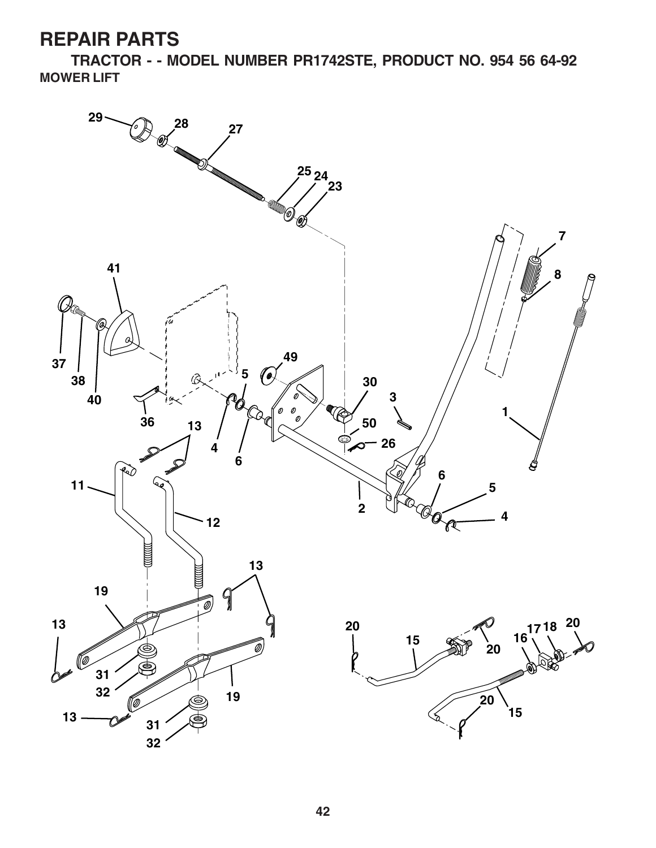**TRACTOR - - MODEL NUMBER PR1742STE, PRODUCT NO. 954 56 64-92 MOWER LIFT**

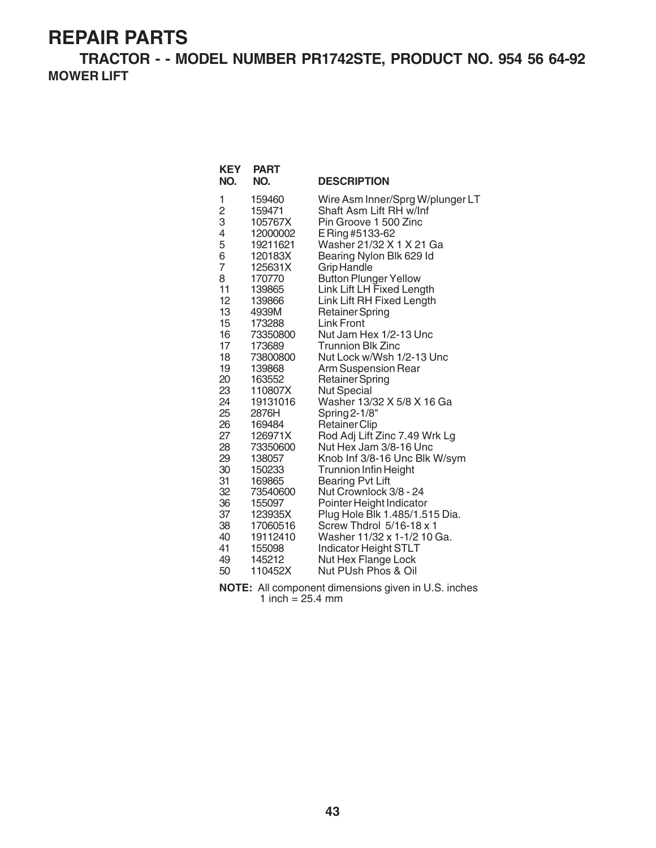**TRACTOR - - MODEL NUMBER PR1742STE, PRODUCT NO. 954 56 64-92 MOWER LIFT**

| <b>KEY</b><br>NO.       | <b>PART</b><br>NO. | <b>DESCRIPTION</b>                           |
|-------------------------|--------------------|----------------------------------------------|
| 1                       | 159460             | Wire Asm Inner/Sprg W/plunger LT             |
| $\overline{\mathbf{c}}$ | 159471             | Shaft Asm Lift RH w/Inf                      |
| 3                       | 105767X            | Pin Groove 1 500 Zinc                        |
| 4                       | 12000002           | E Ring #5133-62                              |
| 5                       | 19211621           | Washer 21/32 X 1 X 21 Ga                     |
| 6                       | 120183X            | Bearing Nylon Blk 629 Id                     |
| $\overline{7}$          | 125631X            | <b>Grip Handle</b>                           |
| 8                       | 170770             | <b>Button Plunger Yellow</b>                 |
| 11                      | 139865             | Link Lift LH Fixed Length                    |
| 12                      | 139866             | Link Lift RH Fixed Length                    |
| 13                      | 4939M              | <b>Retainer Spring</b>                       |
| 15                      | 173288             | <b>Link Front</b>                            |
| 16                      | 73350800           | Nut Jam Hex 1/2-13 Unc                       |
| 17                      | 173689             | Trunnion Blk Zinc                            |
| 18<br>19                | 73800800           | Nut Lock w/Wsh 1/2-13 Unc                    |
| 20                      | 139868             | Arm Suspension Rear                          |
| 23                      | 163552<br>110807X  | <b>Retainer Spring</b><br><b>Nut Special</b> |
| 24                      | 19131016           | Washer 13/32 X 5/8 X 16 Ga                   |
| 25                      | 2876H              | Spring 2-1/8"                                |
| 26                      | 169484             | <b>Retainer Clip</b>                         |
| 27                      | 126971X            | Rod Adj Lift Zinc 7.49 Wrk Lg                |
| 28                      | 73350600           | Nut Hex Jam 3/8-16 Unc                       |
| 29                      | 138057             | Knob Inf 3/8-16 Unc Blk W/sym                |
| 30                      | 150233             | <b>Trunnion Infin Height</b>                 |
| 31                      | 169865             | <b>Bearing Pvt Lift</b>                      |
| 32                      | 73540600           | Nut Crownlock 3/8 - 24                       |
| 36                      | 155097             | Pointer Height Indicator                     |
| 37                      | 123935X            | Plug Hole Blk 1.485/1.515 Dia.               |
| 38                      | 17060516           | Screw Thdrol 5/16-18 x 1                     |
| 40                      | 19112410           | Washer 11/32 x 1-1/2 10 Ga.                  |
| 41                      | 155098             | Indicator Height STLT                        |
| 49                      | 145212             | Nut Hex Flange Lock                          |
| 50                      | 110452X            | Nut PUsh Phos & Oil                          |

**NOTE:** All component dimensions given in U.S. inches 1 inch  $= 25.4$  mm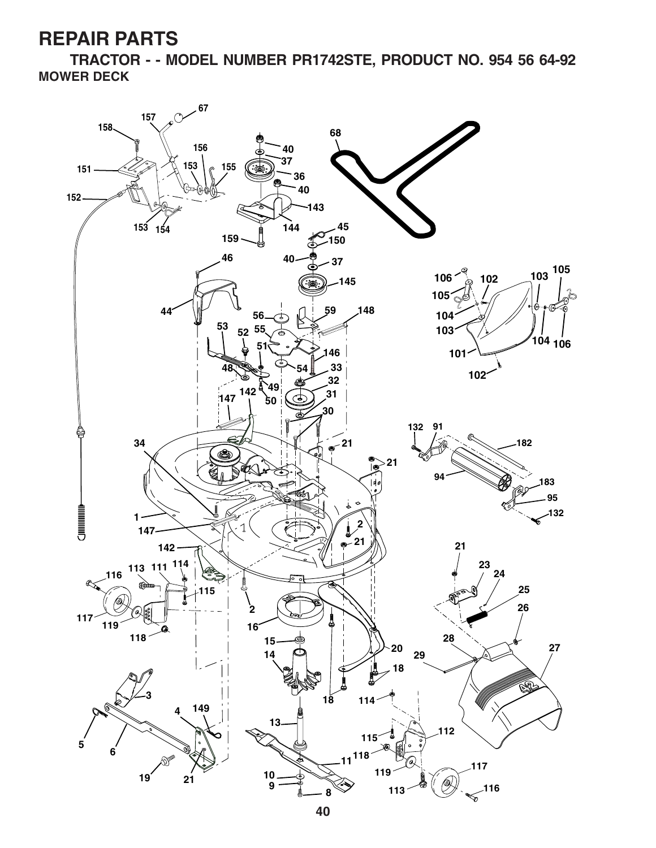**TRACTOR - - MODEL NUMBER PR1742STE, PRODUCT NO. 954 56 64-92 MOWER DECK**

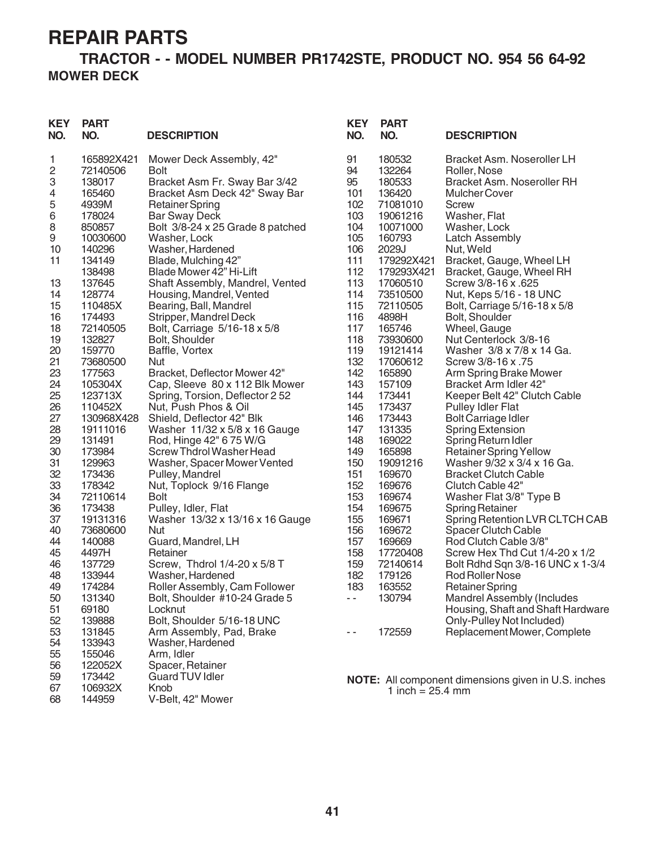#### **TRACTOR - - MODEL NUMBER PR1742STE, PRODUCT NO. 954 56 64-92 MOWER DECK**

| <b>KEY</b><br>NO. | <b>PART</b><br>NO. | <b>DESCRIPTION</b>               | <b>KEY</b><br>NO. | <b>PART</b><br>NO. | <b>DESCRIPTION</b>                                         |
|-------------------|--------------------|----------------------------------|-------------------|--------------------|------------------------------------------------------------|
| 1                 | 165892X421         | Mower Deck Assembly, 42"         | 91                | 180532             | Bracket Asm. Noseroller LH                                 |
| 2                 | 72140506           | <b>Bolt</b>                      | 94                | 132264             | Roller, Nose                                               |
| 3                 | 138017             | Bracket Asm Fr. Sway Bar 3/42    | 95                | 180533             | Bracket Asm. Noseroller RH                                 |
| 4                 | 165460             | Bracket Asm Deck 42" Sway Bar    | 101               | 136420             | <b>Mulcher Cover</b>                                       |
| 5                 | 4939M              | <b>Retainer Spring</b>           | 102               | 71081010           | <b>Screw</b>                                               |
| $\,6$             | 178024             | <b>Bar Sway Deck</b>             | 103               | 19061216           | Washer, Flat                                               |
| 8                 | 850857             | Bolt 3/8-24 x 25 Grade 8 patched | 104               | 10071000           | Washer, Lock                                               |
| $\boldsymbol{9}$  | 10030600           | Washer, Lock                     | 105               | 160793             | <b>Latch Assembly</b>                                      |
| 10                | 140296             | Washer, Hardened                 | 106               | 2029J              | Nut, Weld                                                  |
| 11                | 134149             | Blade, Mulching 42"              | 111               | 179292X421         | Bracket, Gauge, Wheel LH                                   |
|                   | 138498             | Blade Mower 42" Hi-Lift          | 112               | 179293X421         | Bracket, Gauge, Wheel RH                                   |
| 13                | 137645             | Shaft Assembly, Mandrel, Vented  | 113               | 17060510           | Screw 3/8-16 x .625                                        |
| 14                | 128774             | Housing, Mandrel, Vented         | 114               | 73510500           | Nut, Keps 5/16 - 18 UNC                                    |
| 15                | 110485X            | Bearing, Ball, Mandrel           | 115               | 72110505           | Bolt, Carriage 5/16-18 x 5/8                               |
| 16                | 174493             | Stripper, Mandrel Deck           | 116               | 4898H              | Bolt, Shoulder                                             |
| 18                | 72140505           | Bolt, Carriage 5/16-18 x 5/8     | 117               | 165746             | Wheel, Gauge                                               |
| 19                | 132827             | Bolt, Shoulder                   | 118               | 73930600           | Nut Centerlock 3/8-16                                      |
| 20                | 159770             | Baffle, Vortex                   | 119               | 19121414           | Washer 3/8 x 7/8 x 14 Ga.                                  |
| 21                | 73680500           | <b>Nut</b>                       | 132               | 17060612           | Screw 3/8-16 x .75                                         |
| 23                | 177563             | Bracket, Deflector Mower 42"     | 142               | 165890             | Arm Spring Brake Mower                                     |
| 24                | 105304X            | Cap, Sleeve 80 x 112 Blk Mower   | 143               | 157109             | Bracket Arm Idler 42"                                      |
| 25                | 123713X            | Spring, Torsion, Deflector 2 52  | 144               | 173441             | Keeper Belt 42" Clutch Cable                               |
| 26                | 110452X            | Nut, Push Phos & Oil             | 145               | 173437             | <b>Pulley Idler Flat</b>                                   |
| 27                | 130968X428         | Shield, Deflector 42" Blk        | 146               | 173443             | <b>Bolt Carriage Idler</b>                                 |
| 28                | 19111016           | Washer 11/32 x 5/8 x 16 Gauge    | 147               | 131335             | <b>Spring Extension</b>                                    |
| 29                | 131491             | Rod, Hinge 42" 6 75 W/G          | 148               | 169022             | Spring Return Idler                                        |
| 30                | 173984             | Screw Thdrol Washer Head         | 149               | 165898             | <b>Retainer Spring Yellow</b>                              |
| 31                | 129963             | Washer, Spacer Mower Vented      | 150               | 19091216           | Washer 9/32 x 3/4 x 16 Ga.                                 |
| 32                | 173436             | Pulley, Mandrel                  | 151               | 169670             | <b>Bracket Clutch Cable</b>                                |
| 33                | 178342             | Nut, Toplock 9/16 Flange         | 152               | 169676             | Clutch Cable 42"                                           |
| 34                | 72110614           | <b>Bolt</b>                      | 153               | 169674             | Washer Flat 3/8" Type B                                    |
| 36                | 173438             | Pulley, Idler, Flat              | 154               | 169675             | <b>Spring Retainer</b>                                     |
| 37                | 19131316           | Washer 13/32 x 13/16 x 16 Gauge  | 155               | 169671             | Spring Retention LVR CLTCH CAB                             |
| 40                | 73680600           | Nut                              | 156               | 169672             | <b>Spacer Clutch Cable</b>                                 |
| 44                | 140088             | Guard, Mandrel, LH               | 157               | 169669             | Rod Clutch Cable 3/8"                                      |
| 45                | 4497H              | Retainer                         | 158               | 17720408           | Screw Hex Thd Cut 1/4-20 x 1/2                             |
| 46                | 137729             | Screw, Thdrol 1/4-20 x 5/8 T     | 159               | 72140614           | Bolt Rdhd Sqn 3/8-16 UNC x 1-3/4                           |
| 48                | 133944             | Washer, Hardened                 | 182               | 179126             | Rod Roller Nose                                            |
| 49                | 174284             | Roller Assembly, Cam Follower    | 183               | 163552             | <b>Retainer Spring</b>                                     |
| 50                | 131340             | Bolt, Shoulder #10-24 Grade 5    |                   | 130794             | Mandrel Assembly (Includes                                 |
| 51                | 69180              | Locknut                          |                   |                    | Housing, Shaft and Shaft Hardware                          |
| 52                | 139888             | Bolt, Shoulder 5/16-18 UNC       |                   |                    | Only-Pulley Not Included)                                  |
| 53                | 131845             | Arm Assembly, Pad, Brake         | - -               | 172559             | Replacement Mower, Complete                                |
| 54                | 133943             | Washer, Hardened                 |                   |                    |                                                            |
| 55                | 155046             | Arm, Idler                       |                   |                    |                                                            |
| 56                | 122052X            | Spacer, Retainer                 |                   |                    |                                                            |
| 59                | 173442             | <b>Guard TUV Idler</b>           |                   |                    | <b>NOTE:</b> All component dimensions given in U.S. inches |
| 67                | 106932X            | Knob                             |                   | 1 inch = $25.4$ mm |                                                            |
| 68                | 144959             | V-Belt, 42" Mower                |                   |                    |                                                            |